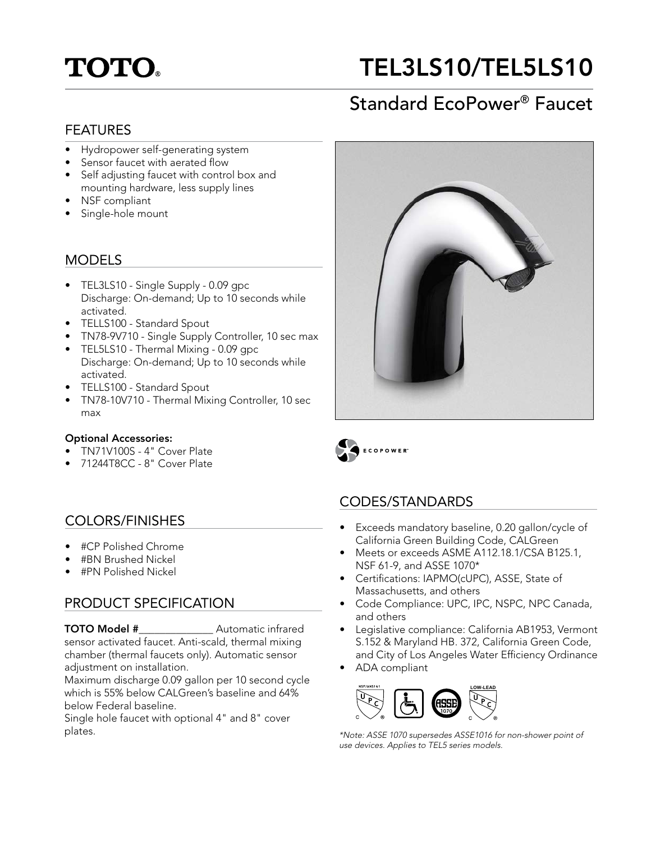# **TOTO.**

## TEL3LS10/TEL5LS10

### Standard EcoPower® Faucet

#### FEATURES

- Hydropower self-generating system
- Sensor faucet with aerated flow
- Self adjusting faucet with control box and mounting hardware, less supply lines
- NSF compliant
- Single-hole mount

#### MODELS

- TEL3LS10 Single Supply 0.09 gpc Discharge: On-demand; Up to 10 seconds while activated.
- TELLS100 Standard Spout
- TN78-9V710 Single Supply Controller, 10 sec max
- TEL5LS10 Thermal Mixing 0.09 gpc Discharge: On-demand; Up to 10 seconds while activated.
- TELLS100 Standard Spout
- TN78-10V710 Thermal Mixing Controller, 10 sec max

#### Optional Accessories:

- TN71V100S 4" Cover Plate
- 71244T8CC 8" Cover Plate

### COLORS/FINISHES

- #CP Polished Chrome
- #BN Brushed Nickel
- #PN Polished Nickel

### PRODUCT SPECIFICATION

TOTO Model #\_\_\_\_\_\_\_\_\_\_\_\_\_\_ Automatic infrared sensor activated faucet. Anti-scald, thermal mixing chamber (thermal faucets only). Automatic sensor adjustment on installation.

Maximum discharge 0.09 gallon per 10 second cycle which is 55% below CALGreen's baseline and 64% below Federal baseline.

Single hole faucet with optional 4" and 8" cover plates.



ECOPOWER

### CODES/STANDARDS

- Exceeds mandatory baseline, 0.20 gallon/cycle of California Green Building Code, CALGreen
- Meets or exceeds ASME A112.18.1/CSA B125.1, NSF 61-9, and ASSE 1070\*
- Certifications: IAPMO(cUPC), ASSE, State of Massachusetts, and others
- Code Compliance: UPC, IPC, NSPC, NPC Canada, and others
- Legislative compliance: California AB1953, Vermont S.152 & Maryland HB. 372, California Green Code, and City of Los Angeles Water Efficiency Ordinance
- ADA compliant



\*Note: ASSE 1070 supersedes ASSE1016 for non-shower point of use devices. Applies to TEL5 series models.